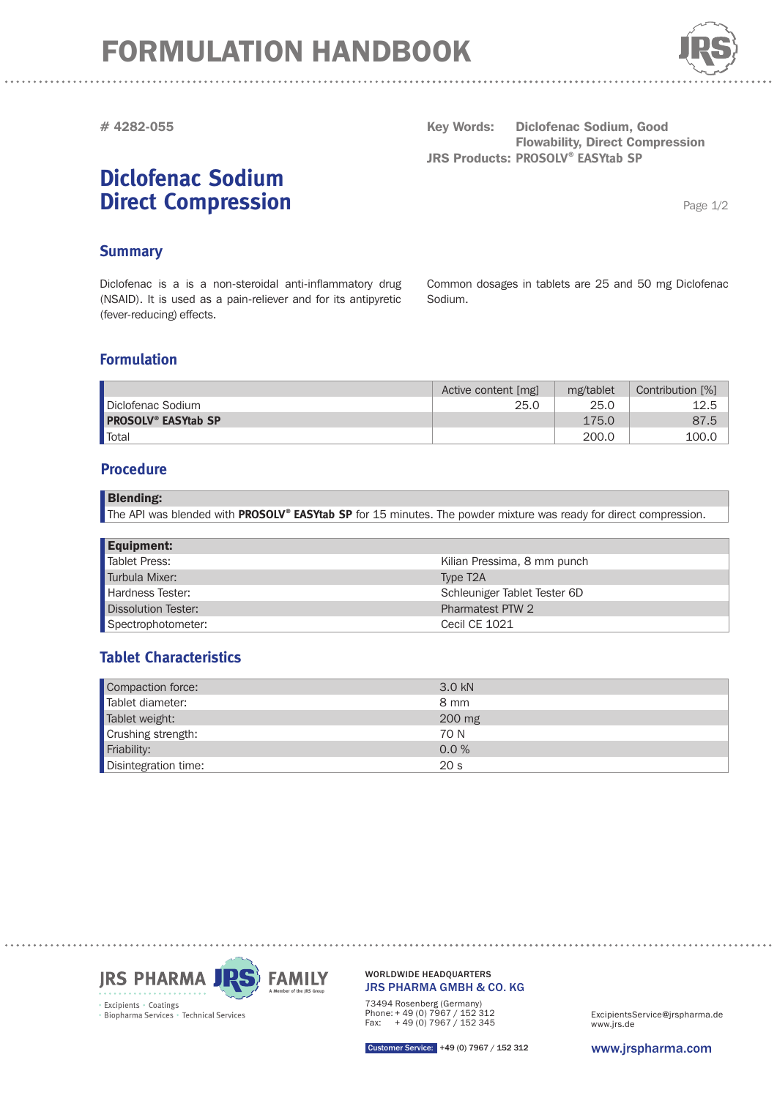## FORMULATION HANDBOOK



**# 4282-055**

### **Diclofenac Sodium Direct Compression**

**Key Words: Diclofenac Sodium, Good Flowability, Direct Compression JRS Products: PROSOLV® EASYtab SP** 

Page 1/2

#### **Summary**

Diclofenac is a is a non-steroidal anti-inflammatory drug (NSAID). It is used as a pain-reliever and for its antipyretic (fever-reducing) effects.

Common dosages in tablets are 25 and 50 mg Diclofenac Sodium.

#### **Formulation**

|                                       | Active content [mg] | mg/tablet | Contribution [%] |
|---------------------------------------|---------------------|-----------|------------------|
| Diclofenac Sodium                     | 25.C                | 25.0      | 12.5             |
| <b>PROSOLV<sup>®</sup> EASYtab SP</b> |                     | 175.0     | 87.5             |
| <b>Total</b>                          |                     | 200.0     | 100.C            |

#### **Procedure**

| The API was blended with PROSOLV® EASYtab SP for 15 minutes. The powder mixture was ready for direct compression. | <b>Blending:</b> |
|-------------------------------------------------------------------------------------------------------------------|------------------|
|                                                                                                                   |                  |

| <b>Equipment:</b>   |                              |
|---------------------|------------------------------|
| Tablet Press:       | Kilian Pressima, 8 mm punch  |
| Turbula Mixer:      | Type T <sub>2</sub> A        |
| Hardness Tester:    | Schleuniger Tablet Tester 6D |
| Dissolution Tester: | Pharmatest PTW 2             |
| Spectrophotometer:  | Cecil CE 1021                |

### **Tablet Characteristics**

| Compaction force:    | 3.0 kN          |
|----------------------|-----------------|
| Tablet diameter:     | 8 mm            |
| Tablet weight:       | 200 mg          |
| Crushing strength:   | 70 N            |
| Friability:          | 0.0 %           |
| Disintegration time: | 20 <sub>s</sub> |



JRS PHARMA GMBH & CO. KG WORLDWIDE HEADQUARTERS

73494 Rosenberg (Germany) Phone: + 49 (0) 7967 / 152 312 Fax: + 49 (0) 7967 / 152 345

www.jrs.de ExcipientsService@jrspharma.de

Customer Service: +49 (0) 7967 / 152 312

www.jrspharma.com